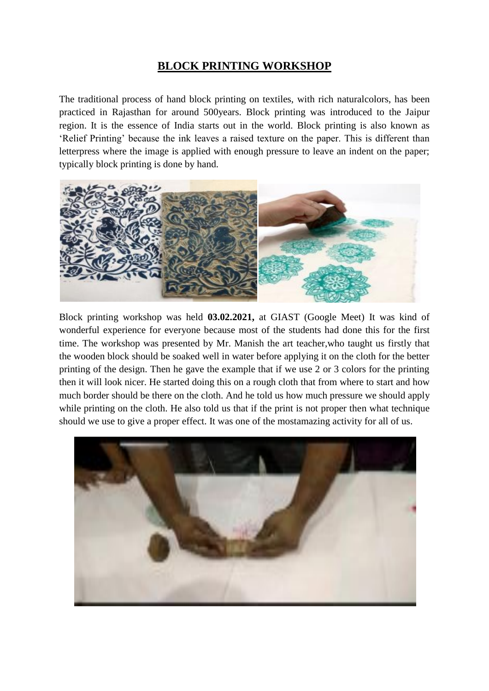## **BLOCK PRINTING WORKSHOP**

The traditional process of hand block printing on textiles, with rich naturalcolors, has been practiced in Rajasthan for around 500years. Block printing was introduced to the Jaipur region. It is the essence of India starts out in the world. Block printing is also known as 'Relief Printing' because the ink leaves a raised texture on the paper. This is different than letterpress where the image is applied with enough pressure to leave an indent on the paper; typically block printing is done by hand.



Block printing workshop was held **03.02.2021,** at GIAST (Google Meet) It was kind of wonderful experience for everyone because most of the students had done this for the first time. The workshop was presented by Mr. Manish the art teacher,who taught us firstly that the wooden block should be soaked well in water before applying it on the cloth for the better printing of the design. Then he gave the example that if we use 2 or 3 colors for the printing then it will look nicer. He started doing this on a rough cloth that from where to start and how much border should be there on the cloth. And he told us how much pressure we should apply while printing on the cloth. He also told us that if the print is not proper then what technique should we use to give a proper effect. It was one of the mostamazing activity for all of us.